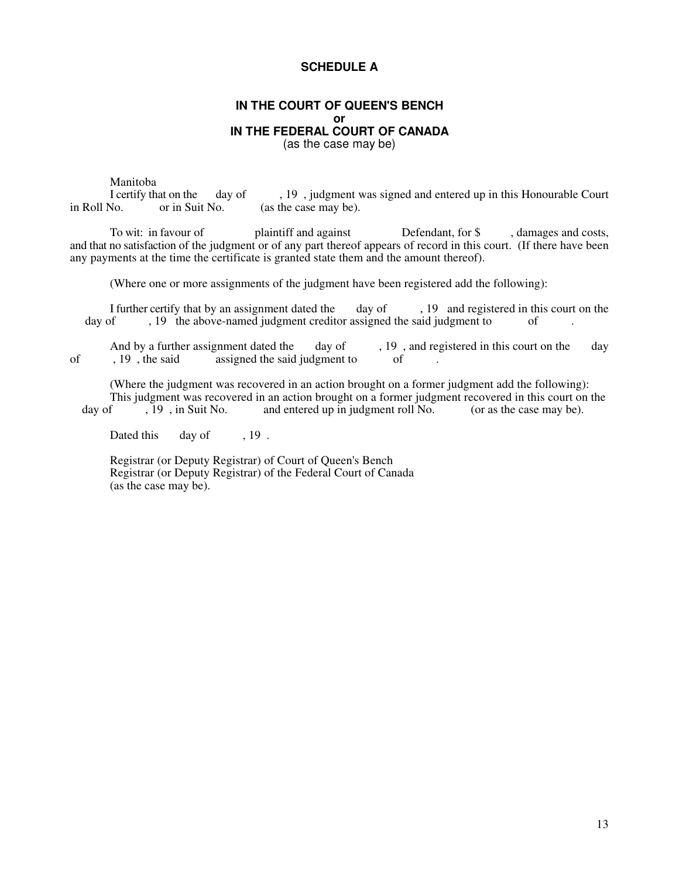### **SCHEDULE A**

#### **IN THE COURT OF QUEEN'S BENCH or IN THE FEDERAL COURT OF CANADA** (as the case may be)

Manitoba<br>I certify that on the at on the day of , 19, judgment was signed and entered up in this Honourable Court or in Suit No. (as the case may be). in Roll No. or in Suit No. (as the case may be).

To wit: in favour of plaintiff and against Defendant, for \$, damages and costs, and that no satisfaction of the judgment or of any part thereof appears of record in this court. (If there have been any payments at the time the certificate is granted state them and the amount thereof).

(Where one or more assignments of the judgment have been registered add the following):

I further certify that by an assignment dated the day of , 19 and registered in this court on the day of , 19 the above-named judgment creditor assigned the said judgment to of , 19 the above-named judgment creditor assigned the said judgment to

And by a further assignment dated the day of , 19, and registered in this court on the day , 19, the said assigned the said judgment to f of , 19, the said assigned the said judgment to

(Where the judgment was recovered in an action brought on a former judgment add the following): This judgment was recovered in an action brought on a former judgment recovered in this court on the day of  $\overline{19}$ , in Suit No. and entered up in judgment roll No. (or as the case may be).

Dated this day of , 19.

Registrar (or Deputy Registrar) of Court of Queen's Bench Registrar (or Deputy Registrar) of the Federal Court of Canada (as the case may be).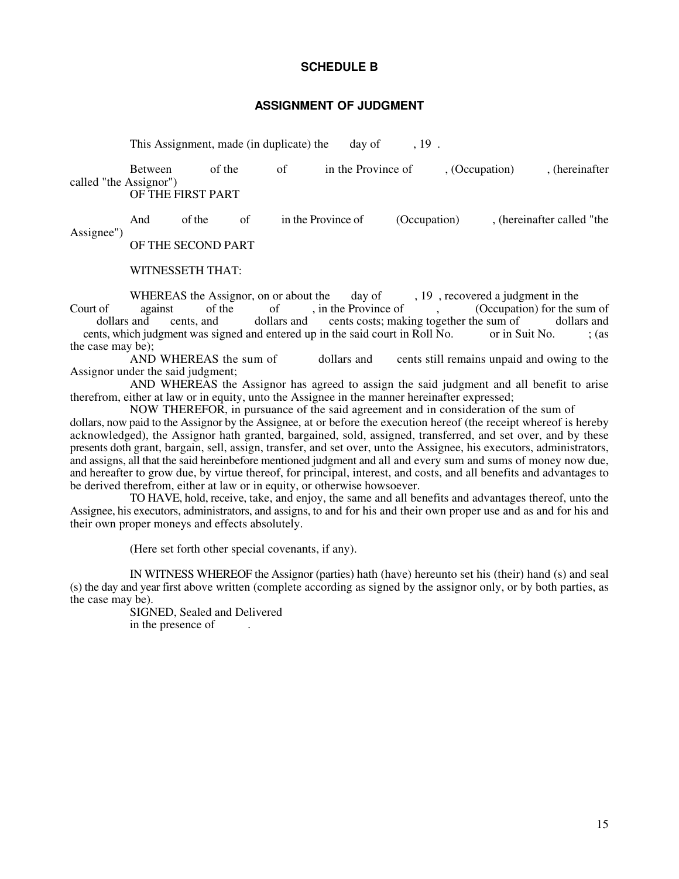#### **SCHEDULE B**

#### **ASSIGNMENT OF JUDGMENT**

This Assignment, made (in duplicate) the day of , 19.

Between of the of in the Province of , (Occupation) , (hereinafter called "the Assignor") OF THE FIRST PART

And of the of in the Province of (Occupation), (hereinafter called "the Assignee")

OF THE SECOND PART

WITNESSETH THAT:

WHEREAS the Assignor, on or about the day of , 19, recovered a judgment in the against of the of , in the Province of (Occupation) for the s Court of against of the of , in the Province of , (Occupation) for the sum of dollars and cents. and dollars and cents costs: making together the sum of dollars and dollars and cents, and dollars and cents costs; making together the sum of dollars and cents, which judgment was signed and entered up in the said court in Roll No. or in Suit No.  $\cdot$  ; (as the case may be);<br>AND WHEREAS the sum of

dollars and cents still remains unpaid and owing to the Assignor under the said judgment;

AND WHEREAS the Assignor has agreed to assign the said judgment and all benefit to arise therefrom, either at law or in equity, unto the Assignee in the manner hereinafter expressed;

NOW THEREFOR, in pursuance of the said agreement and in consideration of the sum of dollars, now paid to the Assignor by the Assignee, at or before the execution hereof (the receipt whereof is hereby acknowledged), the Assignor hath granted, bargained, sold, assigned, transferred, and set over, and by these presents doth grant, bargain, sell, assign, transfer, and set over, unto the Assignee, his executors, administrators, and assigns, all that the said hereinbefore mentioned judgment and all and every sum and sums of money now due, and hereafter to grow due, by virtue thereof, for principal, interest, and costs, and all benefits and advantages to be derived therefrom, either at law or in equity, or otherwise howsoever.

TO HAVE, hold, receive, take, and enjoy, the same and all benefits and advantages thereof, unto the Assignee, his executors, administrators, and assigns, to and for his and their own proper use and as and for his and their own proper moneys and effects absolutely.

(Here set forth other special covenants, if any).

IN WITNESS WHEREOF the Assignor (parties) hath (have) hereunto set his (their) hand (s) and seal (s) the day and year first above written (complete according as signed by the assignor only, or by both parties, as the case may be).

SIGNED, Sealed and Delivered in the presence of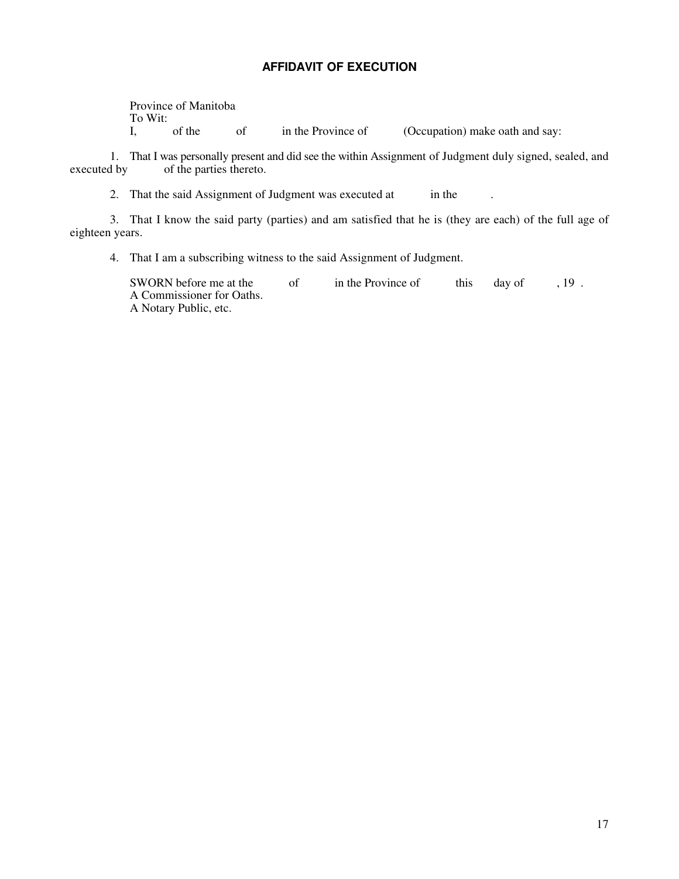### **AFFIDAVIT OF EXECUTION**

Province of Manitoba To Wit:<br>I, of the of in the Province of (Occupation) make oath and say:

1. That I was personally present and did see the within Assignment of Judgment duly signed, sealed, and executed by of the parties thereto. of the parties thereto.

2. That the said Assignment of Judgment was executed at in the .

3. That I know the said party (parties) and am satisfied that he is (they are each) of the full age of eighteen years.

4. That I am a subscribing witness to the said Assignment of Judgment.

SWORN before me at the of in the Province of this day of , 19. A Commissioner for Oaths. A Notary Public, etc.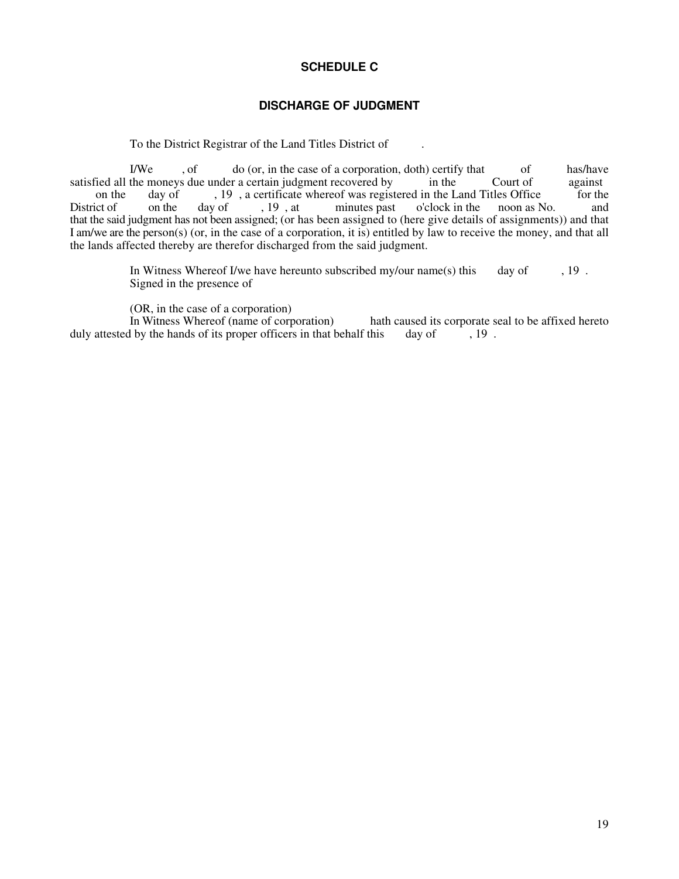# **SCHEDULE C**

## **DISCHARGE OF JUDGMENT**

To the District Registrar of the Land Titles District of .

I/We , of do (or, in the case of a corporation, doth) certify that of has/have the moneys due under a certain judgment recovered by in the Court of against satisfied all the moneys due under a certain judgment recovered by in the Court of against on the day of 19, a certificate whereof was registered in the Land Titles Office for the on the day of , 19, a certificate whereof was registered in the Land Titles Office<br>District of on the day of , 19, at minutes past o'clock in the noon as No. o'clock in the noon as No. and that the said judgment has not been assigned; (or has been assigned to (here give details of assignments)) and that I am/we are the person(s) (or, in the case of a corporation, it is) entitled by law to receive the money, and that all the lands affected thereby are therefor discharged from the said judgment.

> In Witness Whereof I/we have hereunto subscribed my/our name(s) this day of  $\,$ , 19. Signed in the presence of

(OR, in the case of a corporation)<br>In Witness Whereof (name of corporation) hath caused its corporate seal to be affixed hereto this day of  $\,$ , 19. duly attested by the hands of its proper officers in that behalf this day of